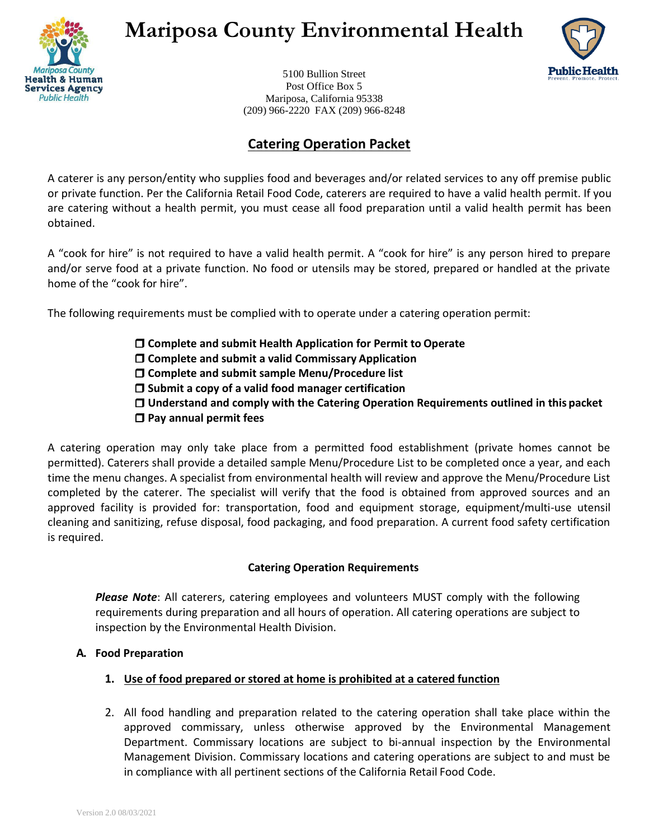

# **Mariposa County Environmental Health**



5100 Bullion Street Post Office Box 5 Mariposa, California 95338 (209) 966-2220 FAX (209) 966-8248

## **Catering Operation Packet**

A caterer is any person/entity who supplies food and beverages and/or related services to any off premise public or private function. Per the California Retail Food Code, caterers are required to have a valid health permit. If you are catering without a health permit, you must cease all food preparation until a valid health permit has been obtained.

A "cook for hire" is not required to have a valid health permit. A "cook for hire" is any person hired to prepare and/or serve food at a private function. No food or utensils may be stored, prepared or handled at the private home of the "cook for hire".

The following requirements must be complied with to operate under a catering operation permit:

- **Complete and submit Health Application for Permit to Operate**
- **Complete and submit a valid Commissary Application**
- **Complete and submit sample Menu/Procedure list**
- **Submit a copy of a valid food manager certification**
- **Understand and comply with the Catering Operation Requirements outlined in this packet**
- **Pay annual permit fees**

A catering operation may only take place from a permitted food establishment (private homes cannot be permitted). Caterers shall provide a detailed sample Menu/Procedure List to be completed once a year, and each time the menu changes. A specialist from environmental health will review and approve the Menu/Procedure List completed by the caterer. The specialist will verify that the food is obtained from approved sources and an approved facility is provided for: transportation, food and equipment storage, equipment/multi-use utensil cleaning and sanitizing, refuse disposal, food packaging, and food preparation. A current food safety certification is required.

### **Catering Operation Requirements**

*Please Note*: All caterers, catering employees and volunteers MUST comply with the following requirements during preparation and all hours of operation. All catering operations are subject to inspection by the Environmental Health Division.

### **A. Food Preparation**

- **1. Use of food prepared or stored at home is prohibited at a catered function**
- 2. All food handling and preparation related to the catering operation shall take place within the approved commissary, unless otherwise approved by the Environmental Management Department. Commissary locations are subject to bi-annual inspection by the Environmental Management Division. Commissary locations and catering operations are subject to and must be in compliance with all pertinent sections of the California Retail Food Code.